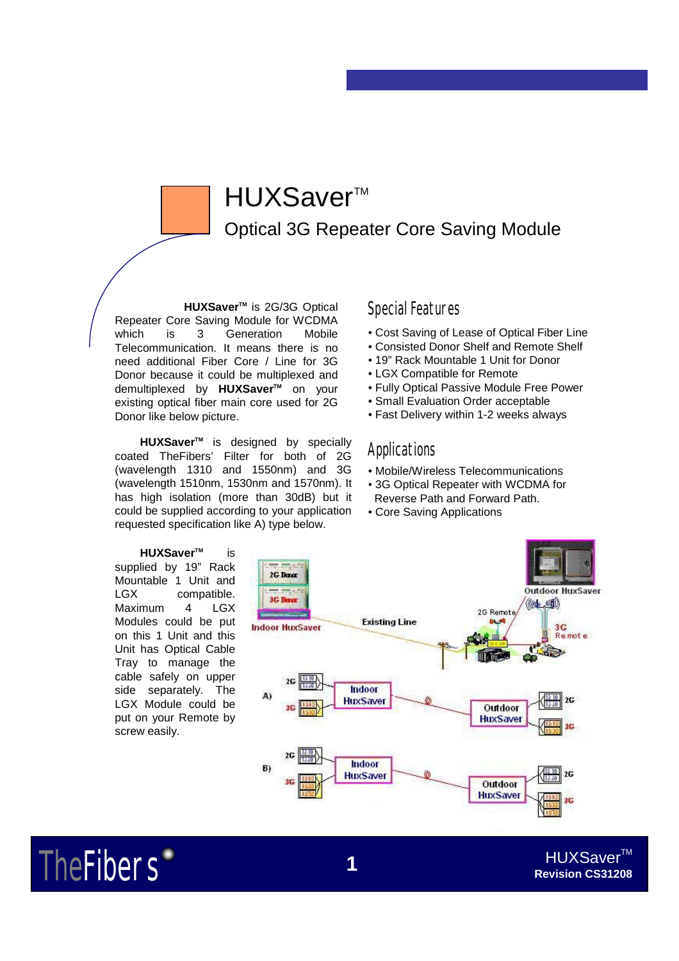# HUXSaver™

Optical 3G Repeater Core Saving Module

**HUXSaver TM** is 2G/3G Optical Repeater Core Saving Module for WCDMA which is 3 Generation Mobile Telecommunication. It means there is no need additional Fiber Core / Line for 3G Donor because it could be multiplexed and demultiplexed by **HUXSaver**™ on your existing optical fiber main core used for 2G Donor like below picture.

**HUXSaver TM** is designed by specially coated TheFibers' Filter for both of 2G (wavelength 1310 and 1550nm) and 3G (wavelength 1510nm, 1530nm and 1570nm). It has high isolation (more than 30dB) but it could be supplied according to your application requested specification like A) type below.

**HUXSaver™** is supplied by 19" Rack Mountable 1 Unit and LGX compatible. Maximum 4 LGX Modules could be put on this 1 Unit and this Unit has Optical Cable Tray to manage the cable safely on upper side separately. The LGX Module could be put on your Remote by screw easily.

**TheFibers** 

## Special Features

- Cost Saving of Lease of Optical Fiber Line
- Consisted Donor Shelf and Remote Shelf
- 19" Rack Mountable 1 Unit for Donor
- LGX Compatible for Remote
- Fully Optical Passive Module Free Power
- Small Evaluation Order acceptable
- Fast Delivery within 1-2 weeks always

## **Applications**

- Mobile/Wireless Telecommunications
- 3G Optical Repeater with WCDMA for Reverse Path and Forward Path.
- Core Saving Applications



### HUXSaver™ **Revision CS31208**